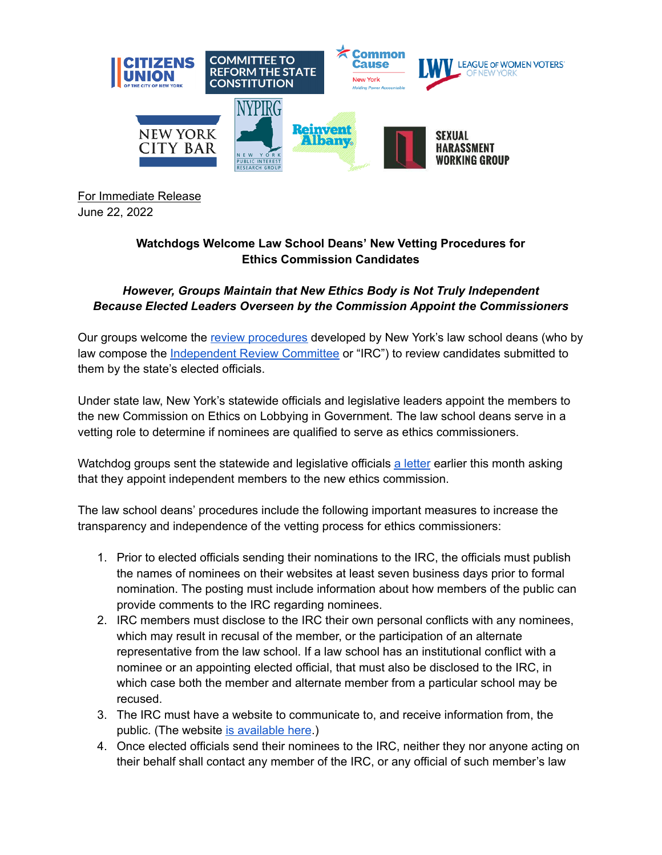

For Immediate Release June 22, 2022

## **Watchdogs Welcome Law School Deans' New Vetting Procedures for Ethics Commission Candidates**

## *However, Groups Maintain that New Ethics Body is Not Truly Independent Because Elected Leaders Overseen by the Commission Appoint the Commissioners*

Our groups welcome the review [procedures](https://www.ny.gov/sites/default/files/2022-06/IRC_Procedures_6-15-22.pdf) developed by New York's law school deans (who by law compose the [Independent](https://www.ny.gov/independent-review-committee-nominations-commission-ethics-and-lobbying-government) Review Committee or "IRC") to review candidates submitted to them by the state's elected officials.

Under state law, New York's statewide officials and legislative leaders appoint the members to the new Commission on Ethics on Lobbying in Government. The law school deans serve in a vetting role to determine if nominees are qualified to serve as ethics commissioners.

Watchdog groups sent the statewide and legislative officials a [letter](https://reinventalbany.org/2022/06/watchdogs-ask-statewide-officials-and-legislative-leaders-to-appoint-independent-members-to-commission-on-ethics-and-lobbying-in-government/) earlier this month asking that they appoint independent members to the new ethics commission.

The law school deans' procedures include the following important measures to increase the transparency and independence of the vetting process for ethics commissioners:

- 1. Prior to elected officials sending their nominations to the IRC, the officials must publish the names of nominees on their websites at least seven business days prior to formal nomination. The posting must include information about how members of the public can provide comments to the IRC regarding nominees.
- 2. IRC members must disclose to the IRC their own personal conflicts with any nominees, which may result in recusal of the member, or the participation of an alternate representative from the law school. If a law school has an institutional conflict with a nominee or an appointing elected official, that must also be disclosed to the IRC, in which case both the member and alternate member from a particular school may be recused.
- 3. The IRC must have a website to communicate to, and receive information from, the public. (The website is [available](https://www.ny.gov/independent-review-committee-nominations-commission-ethics-and-lobbying-government) here.)
- 4. Once elected officials send their nominees to the IRC, neither they nor anyone acting on their behalf shall contact any member of the IRC, or any official of such member's law